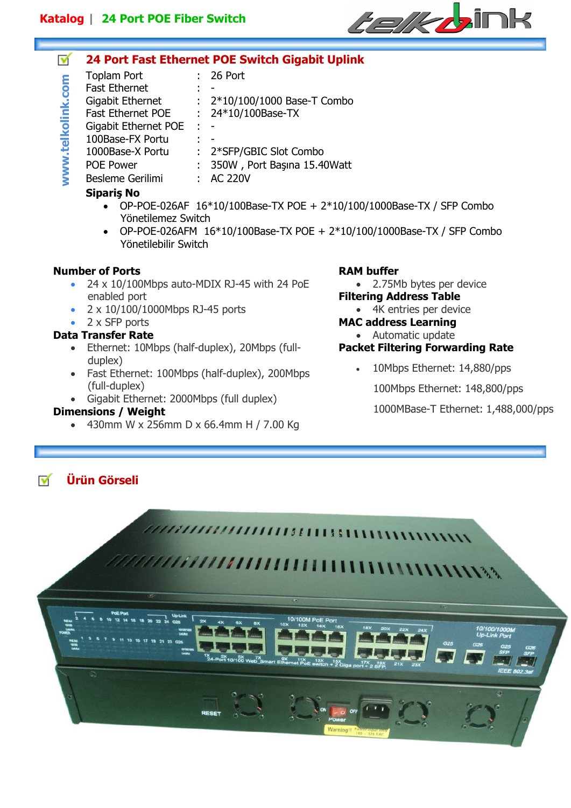

#### **24 Port Fast Ethernet POE Switch Gigabit Uplink**  ✔

- Toplam Port : 26 Port www.telkolink.com **www.telkolink.com** Fast Ethernet Gigabit Ethernet : 2<sup>\*</sup>10/100/1000 Base-T Combo
- Fast Ethernet POE : 24\*10/100Base-TX Gigabit Ethernet POE : -
- 100Base-FX Portu
- 1000Base-X Portu : 2\*SFP/GBIC Slot Combo
	- POE Power : 350W, Port Başına 15.40Watt
		- Besleme Gerilimi : AC 220V

### **Sipariş No**

- OP-POE-026AF  $16*10/100$ Base-TX POE +  $2*10/100/1000$ Base-TX / SFP Combo Yönetilemez Switch
- OP-POE-026AFM 16\*10/100Base-TX POE + 2\*10/100/1000Base-TX / SFP Combo Yönetilebilir Switch

#### **Number of Ports**

- 24 x 10/100Mbps auto-MDIX RJ-45 with 24 PoE enabled port
- 2 x 10/100/1000Mbps RJ-45 ports
- 2 x SFP ports

#### **Data Transfer Rate**

- Ethernet: 10Mbps (half-duplex), 20Mbps (fullduplex)
- Fast Ethernet: 100Mbps (half-duplex), 200Mbps (full-duplex)
- Gigabit Ethernet: 2000Mbps (full duplex)

### **Dimensions / Weight**

• 430mm W x 256mm D x 66.4mm H / 7.00 Kg

### **RAM buffer**

- 2.75Mb bytes per device
- **Filtering Address Table** 
	- 4K entries per device

# **MAC address Learning**

• Automatic update

## **Packet Filtering Forwarding Rate**

- 10Mbps Ethernet: 14,880/pps
	- 100Mbps Ethernet: 148,800/pps

1000MBase-T Ethernet: 1,488,000/pps